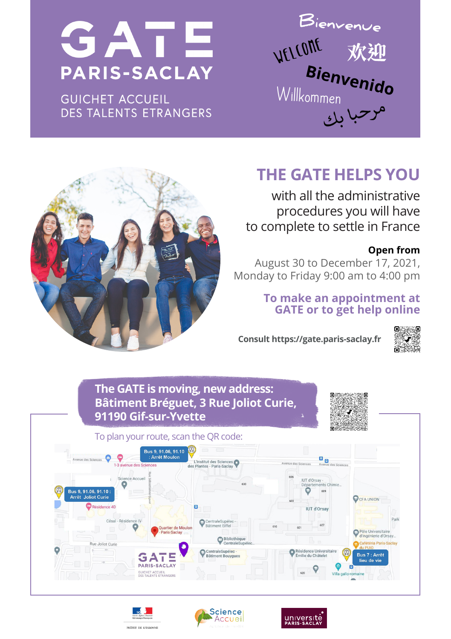# SATE **PARIS-SACLAY**

**GUICHET ACCUEIL DES TALENTS ETRANGERS** 

**Bienvenue WELLOME 欢迎**<br>Bienvenido



# **THE GATE HELPS YOU**

with all the administrative procedures you will have to complete to settle in France

### **Open from**

August 30 to December 17, 2021, Monday to Friday 9:00 am to 4:00 pm

# **To make an appointment at GATE or to get help online**

**Consult https://gate.paris-saclay.fr**



**The GATE is moving, new address: Bâtiment Bréguet, 3 Rue Joliot Curie, 91190 Gif-sur-Yvette**



To plan your route, scan the QR code: **Bus 9, 91.06, 91.10**  $\epsilon$ o <sub>o</sub> L'Institut des Sciences on Annual IUT d'Orsay ö **Bus 9, 91.06, 91.10**<br>Arrêt Joliet Curie **O** CFA UNION Résidence 4D IUT d'Orsa Césal - Réside CentraleSupéler rtier de Moulo lo Llohioroiti universitane<br>Snjarja d'Oreau Bibliothèq<br>CentraleSi Rue Joliot Curie CentraleSupélec<br>Bâtiment Bouygue ence Universitaire<br>du Châtelet ь GAT **DADIS-SACLAY** GUICHET ACCUEIL<br>DES TALENTS ETRANGER!